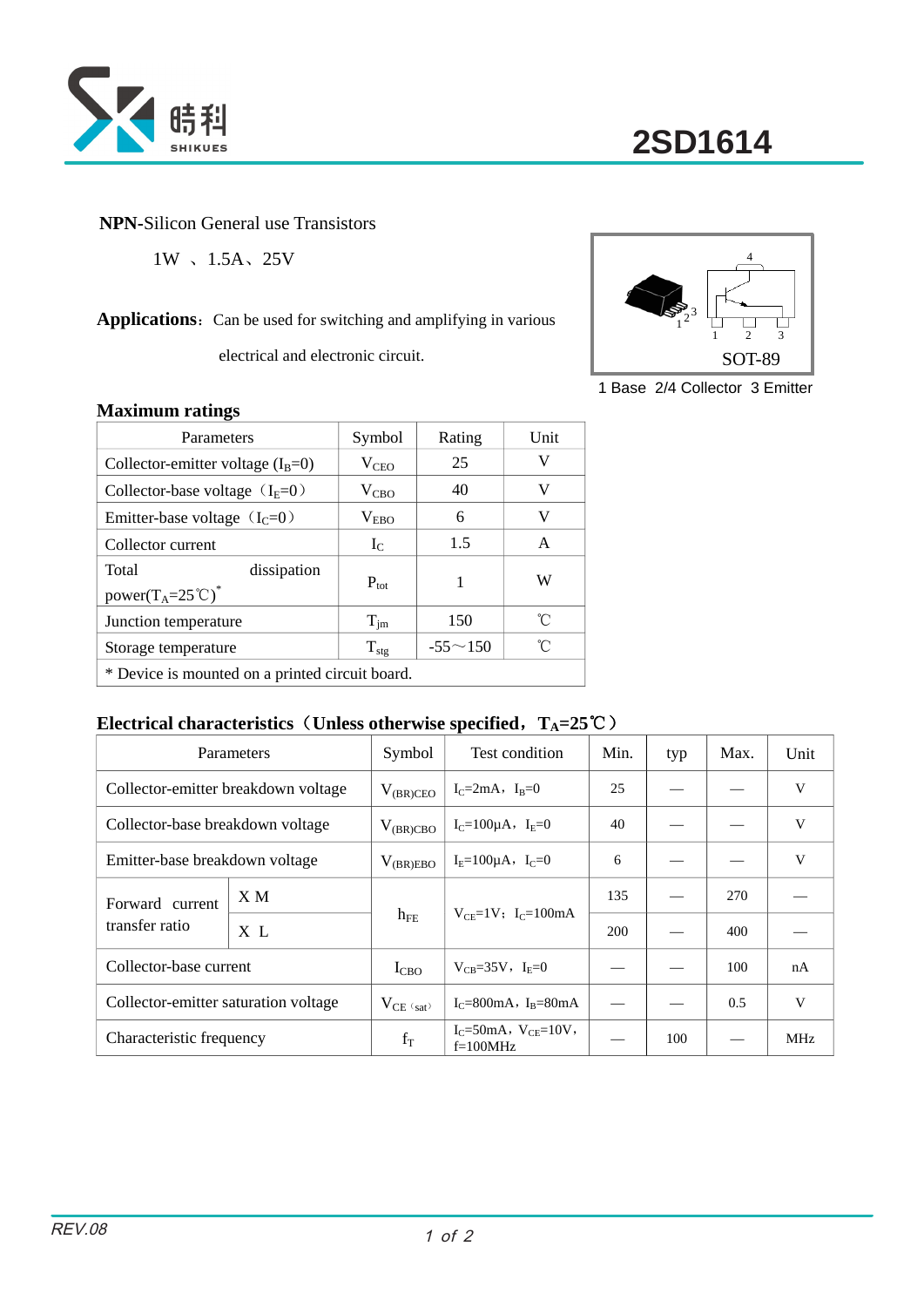

## **NPN-**Silicon General use Transistors

1W 、1.5A、25V

## Applications: Can be used for switching and amplifying in various

electrical and electronic circuit.



1 Base 2/4 Collector 3 Emitter

#### **Maximum ratings**

| Parameters                                                                    | Symbol           | Rating         | Unit |  |  |
|-------------------------------------------------------------------------------|------------------|----------------|------|--|--|
| Collector-emitter voltage $(I_B=0)$                                           | $V_{\text{CEO}}$ | 25             | V    |  |  |
| Collector-base voltage $(I_E=0)$                                              | $V_{CBO}$        | 40             | V    |  |  |
| Emitter-base voltage $(IC=0)$                                                 | $V_{EBO}$        | 6              | V    |  |  |
| Collector current                                                             | $I_{C}$          | 1.5            | A    |  |  |
| Total<br>dissipation<br>power(T <sub>A</sub> =25 <sup>°</sup> C) <sup>*</sup> | $P_{\text{tot}}$ | 1              | W    |  |  |
| Junction temperature                                                          | $T_{\text{im}}$  | 150            | °C   |  |  |
| Storage temperature                                                           | $T_{\rm stg}$    | $-55 \sim 150$ | °C   |  |  |
| * Device is mounted on a printed circuit board.                               |                  |                |      |  |  |

### **Electrical characteristics**(**Unless otherwise specified**,**TA=25**℃)

|                                      | Parameters |                | Test condition                               | Min.       | typ | Max. | Unit       |
|--------------------------------------|------------|----------------|----------------------------------------------|------------|-----|------|------------|
| Collector-emitter breakdown voltage  |            | $V_{(BR)CEO}$  | $I_C = 2mA$ , $I_B = 0$                      | 25         |     |      | V          |
| Collector-base breakdown voltage     |            | $V_{(BR)CBO}$  | $I_C = 100 \mu A$ , $I_E = 0$                | 40         |     |      | V          |
| Emitter-base breakdown voltage       |            | $V_{(BR)EBO}$  | $I_F = 100 \mu A$ , $I_C = 0$                | 6          |     |      | V          |
| Forward current<br>transfer ratio    | X M        | $h_{FE}$       | $V_{CF} = 1V$ ; I <sub>C</sub> =100mA        | 135        |     | 270  |            |
|                                      | X L        |                |                                              | <b>200</b> |     | 400  |            |
| Collector-base current               |            | $I_{CBO}$      | $V_{CR} = 35V$ , $I_{E} = 0$                 |            |     | 100  | nA         |
| Collector-emitter saturation voltage |            | $V_{CE (sat)}$ | $I_C = 800 \text{mA}$ , $I_B = 80 \text{mA}$ |            |     | 0.5  | V          |
| Characteristic frequency             |            | $f_T$          | $I_C = 50mA, V_{CE} = 10V,$<br>$f=100MHz$    |            | 100 |      | <b>MHz</b> |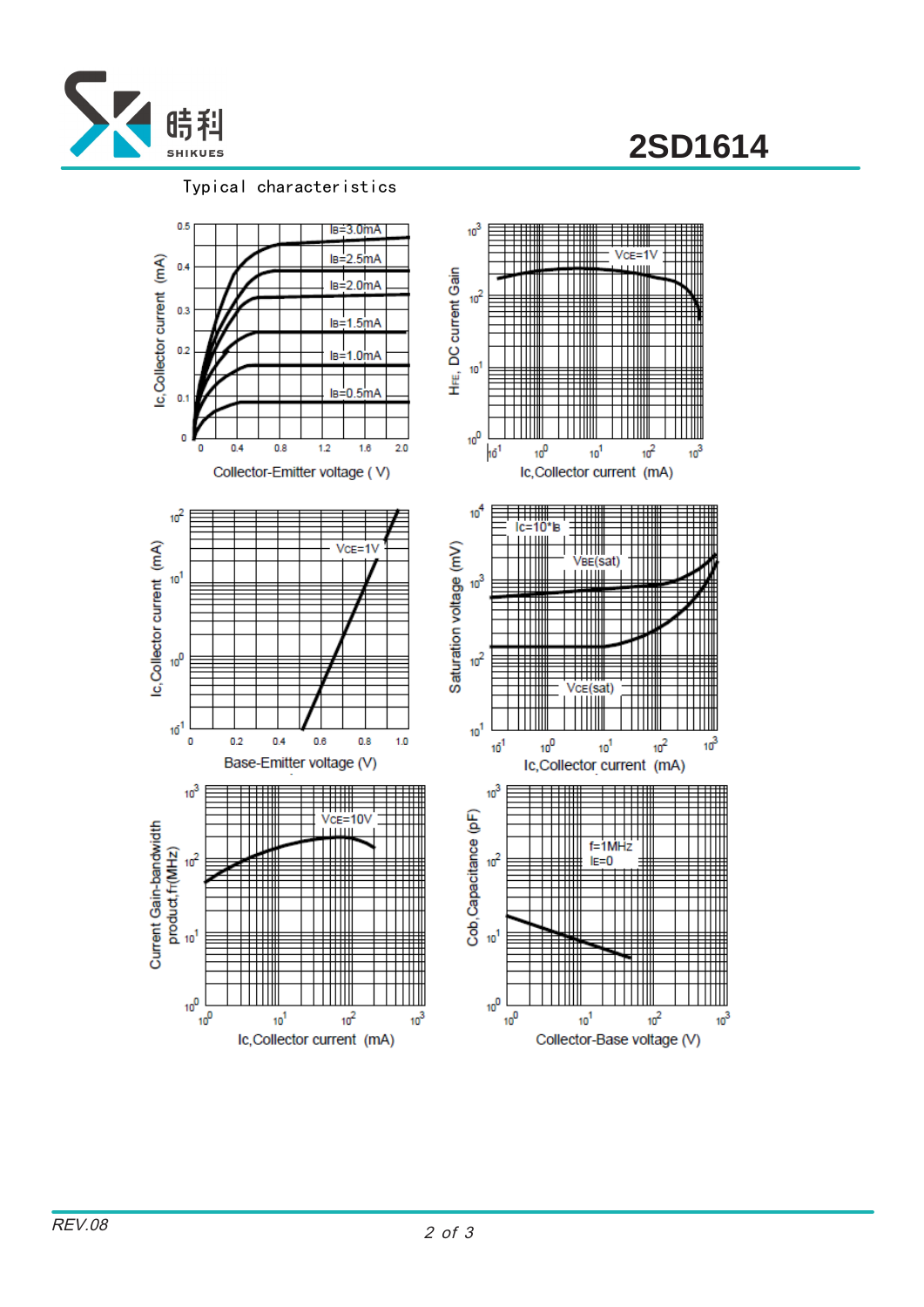

**2SD1614**

#### Typical characteristics